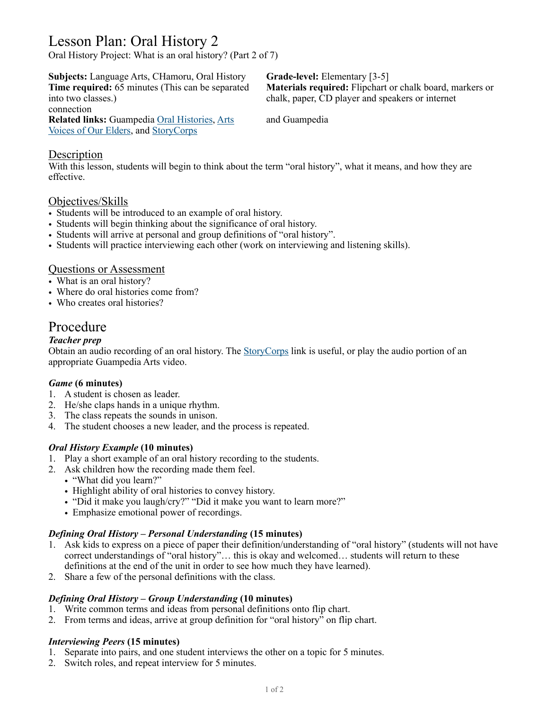# Lesson Plan: Oral History 2

Oral History Project: What is an oral history? (Part 2 of 7)

**Subjects:** Language Arts, CHamoru, Oral History **Grade-level:** Elementary [3-5]

connection

**Related links:** Guampedia [Oral Histories](https://www.guampedia.com/i-man-chamorro/chamorro-culture-gender-roles/#Oral_histories), [Arts](https://www.guampedia.com/art-architecture-body-adornment-music-and-food/art/) and Guampedia [Voices of Our Elders,](https://www.guampedia.com/voices-of-our-elders/) and [StoryCorps](http://sotrycorps.org/)

**Time required:** 65 minutes (This can be separated **Materials required:** Flipchart or chalk board, markers or into two classes.) chalk, paper, CD player and speakers or internet

### **Description**

With this lesson, students will begin to think about the term "oral history", what it means, and how they are effective.

# Objectives/Skills

- Students will be introduced to an example of oral history.
- Students will begin thinking about the significance of oral history.
- Students will arrive at personal and group definitions of "oral history".
- Students will practice interviewing each other (work on interviewing and listening skills).

# Questions or Assessment

- What is an oral history?
- Where do oral histories come from?
- Who creates oral histories?

# Procedure

#### *Teacher prep*

Obtain an audio recording of an oral history. The [StoryCorps](http://sotrycorps.org/) link is useful, or play the audio portion of an appropriate Guampedia Arts video.

#### *Game* **(6 minutes)**

- 1. A student is chosen as leader.
- 2. He/she claps hands in a unique rhythm.
- 3. The class repeats the sounds in unison.
- 4. The student chooses a new leader, and the process is repeated.

#### *Oral History Example* **(10 minutes)**

- 1. Play a short example of an oral history recording to the students.
- 2. Ask children how the recording made them feel.
	- "What did you learn?"
	- Highlight ability of oral histories to convey history.
	- "Did it make you laugh/cry?" "Did it make you want to learn more?"
	- Emphasize emotional power of recordings.

#### *Defining Oral History – Personal Understanding* **(15 minutes)**

- 1. Ask kids to express on a piece of paper their definition/understanding of "oral history" (students will not have correct understandings of "oral history"… this is okay and welcomed… students will return to these definitions at the end of the unit in order to see how much they have learned).
- 2. Share a few of the personal definitions with the class.

#### *Defining Oral History – Group Understanding* **(10 minutes)**

- 1. Write common terms and ideas from personal definitions onto flip chart.
- 2. From terms and ideas, arrive at group definition for "oral history" on flip chart.

#### *Interviewing Peers* **(15 minutes)**

- 1. Separate into pairs, and one student interviews the other on a topic for 5 minutes.
- 2. Switch roles, and repeat interview for 5 minutes.